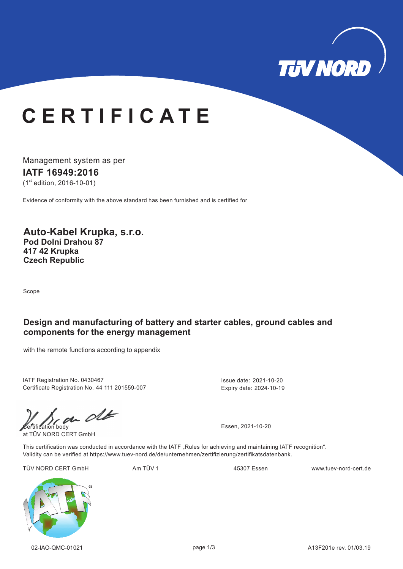

# **C E R T I F I C A T E**

Management system as per **IATF 16949: 16 20**  $(1<sup>st</sup>$  edition, 2016-10-01)

Evidence of conformity with the above standard has been furnished and is certified for

**Auto-Kabel Krupka, s.r.o. Pod Dolní Drahou 87 417 42 Krupka Czech Republic**

Scope

### **Design and manufacturing of battery and starter cables, ground cables and components for the energy management**

with the remote functions according to appendix

IATF Registration No. 0430467 Certificate Registration No. 44 111 201559-007 Issue date: 2021-10-20 Expiry date: 2024-10-19

 $\frac{1}{\frac{1}{\frac{1}{\sqrt{1-\frac{1}{\sqrt{1-\frac{1}{\sqrt{1-\frac{1}{\sqrt{1-\frac{1}{\sqrt{1-\frac{1}{\sqrt{1-\frac{1}{\sqrt{1-\frac{1}{\sqrt{1-\frac{1}{\sqrt{1-\frac{1}{\sqrt{1-\frac{1}{\sqrt{1-\frac{1}{\sqrt{1-\frac{1}{\sqrt{1-\frac{1}{\sqrt{1-\frac{1}{\sqrt{1-\frac{1}{\sqrt{1-\frac{1}{\sqrt{1-\frac{1}{\sqrt{1-\frac{1}{\sqrt{1-\frac{1}{\sqrt{1-\frac{1}{\sqrt{1-\frac{1}{\sqrt{1-\frac{1}{\sqrt{1-\frac{$ 

at TÜV NORD CERT GmbH

This certification was conducted in accordance with the IATF "Rules for achieving and maintaining IATF recognition". Validity can be verified at https://www.tuev-nord.de/de/unternehmen/zertifizierung/zertifikatsdatenbank.

TÜV NORD CERT GmbH Am TÜV 1 Am TÜV 1 45307 Essen www.tuev-nord-cert.de

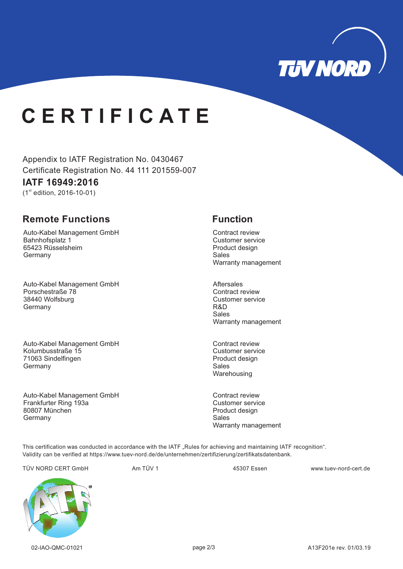

# **C E R T I F I C A T E**

Appendix to IATF Registration No. 0430467 Certificate Registration No. 44 111 201559-007

## **IATF 16949: 16 20**

 $(1<sup>st</sup>$  edition, 2016-10-01)

## **Remote Functions Function**

Auto-Kabel Management GmbH Bahnhofsplatz 1 65423 Rüsselsheim **Germany** 

Auto-Kabel Management GmbH Porschestraße 78 38440 Wolfsburg **Germany** 

Auto-Kabel Management GmbH Kolumbusstraße 15 71063 Sindelfingen **Germany** 

Auto-Kabel Management GmbH Frankfurter Ring 193a 80807 München **Germany** 

Contract review Customer service Product design Sales Warranty management

Aftersales Contract review Customer service R&D Sales Warranty management

Contract review Customer service Product design Sales **Warehousing** 

Contract review Customer service Product design Sales Warranty management

This certification was conducted in accordance with the IATF "Rules for achieving and maintaining IATF recognition". Validity can be verified at https://www.tuev-nord.de/de/unternehmen/zertifizierung/zertifikatsdatenbank.

TÜV NORD CERT GmbH Am TÜV 1 www.tuev-nord-cert.de 45307 Essen